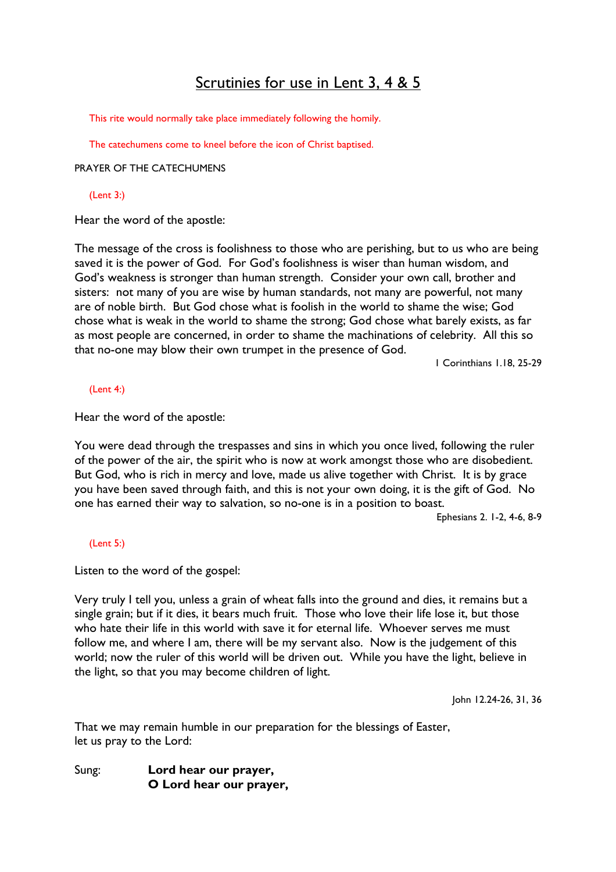# Scrutinies for use in Lent 3, 4 & 5

This rite would normally take place immediately following the homily.

The catechumens come to kneel before the icon of Christ baptised.

PRAYER OF THE CATECHUMENS

#### (Lent 3:)

Hear the word of the apostle:

The message of the cross is foolishness to those who are perishing, but to us who are being saved it is the power of God. For God's foolishness is wiser than human wisdom, and God's weakness is stronger than human strength. Consider your own call, brother and sisters: not many of you are wise by human standards, not many are powerful, not many are of noble birth. But God chose what is foolish in the world to shame the wise; God chose what is weak in the world to shame the strong; God chose what barely exists, as far as most people are concerned, in order to shame the machinations of celebrity. All this so that no-one may blow their own trumpet in the presence of God.

1 Corinthians 1.18, 25-29

(Lent 4:)

Hear the word of the apostle:

You were dead through the trespasses and sins in which you once lived, following the ruler of the power of the air, the spirit who is now at work amongst those who are disobedient. But God, who is rich in mercy and love, made us alive together with Christ. It is by grace you have been saved through faith, and this is not your own doing, it is the gift of God. No one has earned their way to salvation, so no-one is in a position to boast.

Ephesians 2. 1-2, 4-6, 8-9

#### (Lent 5:)

Listen to the word of the gospel:

Very truly I tell you, unless a grain of wheat falls into the ground and dies, it remains but a single grain; but if it dies, it bears much fruit. Those who love their life lose it, but those who hate their life in this world with save it for eternal life. Whoever serves me must follow me, and where I am, there will be my servant also. Now is the judgement of this world; now the ruler of this world will be driven out. While you have the light, believe in the light, so that you may become children of light.

John 12.24-26, 31, 36

That we may remain humble in our preparation for the blessings of Easter, let us pray to the Lord:

Sung: Lord hear our prayer, O Lord hear our prayer,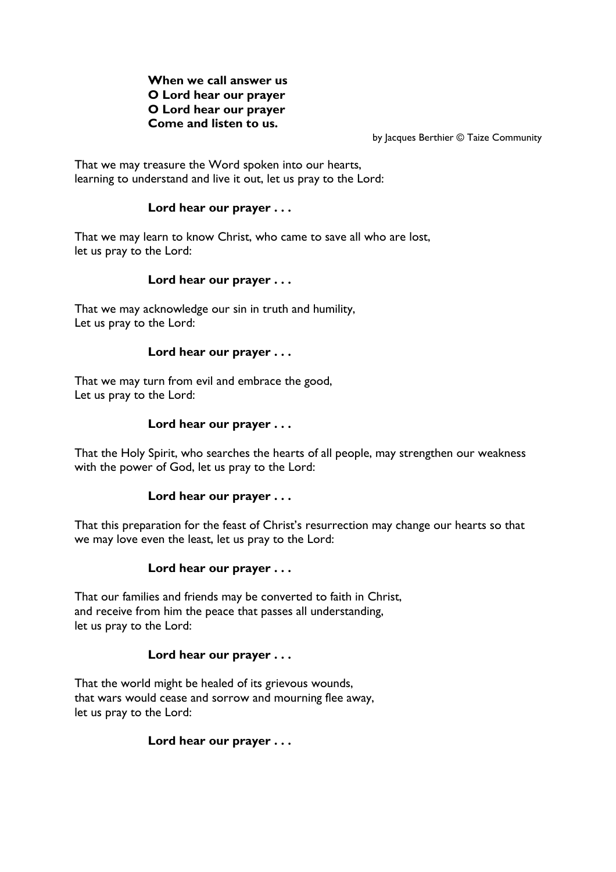## When we call answer us O Lord hear our prayer O Lord hear our prayer Come and listen to us.

by Jacques Berthier © Taize Community

That we may treasure the Word spoken into our hearts, learning to understand and live it out, let us pray to the Lord:

# Lord hear our prayer . . .

That we may learn to know Christ, who came to save all who are lost, let us pray to the Lord:

## Lord hear our prayer . . .

That we may acknowledge our sin in truth and humility, Let us pray to the Lord:

## Lord hear our prayer . . .

That we may turn from evil and embrace the good, Let us pray to the Lord:

## Lord hear our prayer . . .

That the Holy Spirit, who searches the hearts of all people, may strengthen our weakness with the power of God, let us pray to the Lord:

## Lord hear our prayer . . .

That this preparation for the feast of Christ's resurrection may change our hearts so that we may love even the least, let us pray to the Lord:

## Lord hear our prayer . . .

That our families and friends may be converted to faith in Christ, and receive from him the peace that passes all understanding, let us pray to the Lord:

## Lord hear our prayer . . .

That the world might be healed of its grievous wounds, that wars would cease and sorrow and mourning flee away, let us pray to the Lord:

## Lord hear our prayer . . .